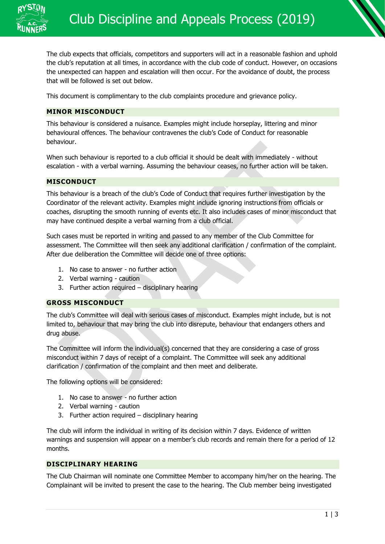

The club expects that officials, competitors and supporters will act in a reasonable fashion and uphold the club's reputation at all times, in accordance with the club code of conduct. However, on occasions the unexpected can happen and escalation will then occur. For the avoidance of doubt, the process that will be followed is set out below.

This document is complimentary to the club complaints procedure and grievance policy.

## **MINOR MISCONDUCT**

This behaviour is considered a nuisance. Examples might include horseplay, littering and minor behavioural offences. The behaviour contravenes the club's Code of Conduct for reasonable behaviour.

When such behaviour is reported to a club official it should be dealt with immediately - without escalation - with a verbal warning. Assuming the behaviour ceases, no further action will be taken.

## **MISCONDUCT**

This behaviour is a breach of the club's Code of Conduct that requires further investigation by the Coordinator of the relevant activity. Examples might include ignoring instructions from officials or coaches, disrupting the smooth running of events etc. It also includes cases of minor misconduct that may have continued despite a verbal warning from a club official.

Such cases must be reported in writing and passed to any member of the Club Committee for assessment. The Committee will then seek any additional clarification / confirmation of the complaint. After due deliberation the Committee will decide one of three options:

- 1. No case to answer no further action
- 2. Verbal warning caution
- 3. Further action required disciplinary hearing

# **GROSS MISCONDUCT**

The club's Committee will deal with serious cases of misconduct. Examples might include, but is not limited to, behaviour that may bring the club into disrepute, behaviour that endangers others and drug abuse.

The Committee will inform the individual(s) concerned that they are considering a case of gross misconduct within 7 days of receipt of a complaint. The Committee will seek any additional clarification / confirmation of the complaint and then meet and deliberate.

The following options will be considered:

- 1. No case to answer no further action
- 2. Verbal warning caution
- 3. Further action required disciplinary hearing

The club will inform the individual in writing of its decision within 7 days. Evidence of written warnings and suspension will appear on a member's club records and remain there for a period of 12 months.

## **DISCIPLINARY HEARING**

The Club Chairman will nominate one Committee Member to accompany him/her on the hearing. The Complainant will be invited to present the case to the hearing. The Club member being investigated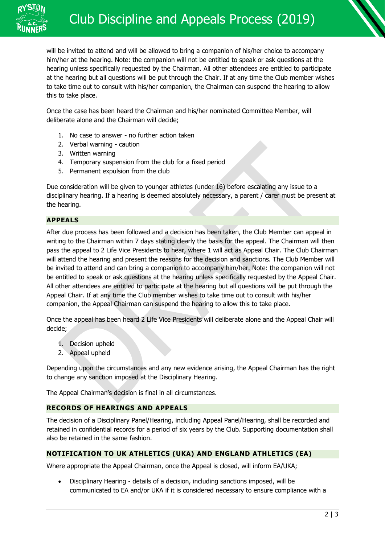

will be invited to attend and will be allowed to bring a companion of his/her choice to accompany him/her at the hearing. Note: the companion will not be entitled to speak or ask questions at the hearing unless specifically requested by the Chairman. All other attendees are entitled to participate at the hearing but all questions will be put through the Chair. If at any time the Club member wishes to take time out to consult with his/her companion, the Chairman can suspend the hearing to allow this to take place.

Once the case has been heard the Chairman and his/her nominated Committee Member, will deliberate alone and the Chairman will decide;

- 1. No case to answer no further action taken
- 2. Verbal warning caution
- 3. Written warning
- 4. Temporary suspension from the club for a fixed period
- 5. Permanent expulsion from the club

Due consideration will be given to younger athletes (under 16) before escalating any issue to a disciplinary hearing. If a hearing is deemed absolutely necessary, a parent / carer must be present at the hearing.

### **APPEALS**

After due process has been followed and a decision has been taken, the Club Member can appeal in writing to the Chairman within 7 days stating clearly the basis for the appeal. The Chairman will then pass the appeal to 2 Life Vice Presidents to hear, where 1 will act as Appeal Chair. The Club Chairman will attend the hearing and present the reasons for the decision and sanctions. The Club Member will be invited to attend and can bring a companion to accompany him/her. Note: the companion will not be entitled to speak or ask questions at the hearing unless specifically requested by the Appeal Chair. All other attendees are entitled to participate at the hearing but all questions will be put through the Appeal Chair. If at any time the Club member wishes to take time out to consult with his/her companion, the Appeal Chairman can suspend the hearing to allow this to take place.

Once the appeal has been heard 2 Life Vice Presidents will deliberate alone and the Appeal Chair will decide;

- 1. Decision upheld
- 2. Appeal upheld

Depending upon the circumstances and any new evidence arising, the Appeal Chairman has the right to change any sanction imposed at the Disciplinary Hearing.

The Appeal Chairman's decision is final in all circumstances.

### **RECORDS OF HEARINGS AND APPEALS**

The decision of a Disciplinary Panel/Hearing, including Appeal Panel/Hearing, shall be recorded and retained in confidential records for a period of six years by the Club. Supporting documentation shall also be retained in the same fashion.

### **NOTIFICATION TO UK ATHLETICS (UKA) AND ENGLAND ATHLETICS (EA)**

Where appropriate the Appeal Chairman, once the Appeal is closed, will inform EA/UKA;

• Disciplinary Hearing - details of a decision, including sanctions imposed, will be communicated to EA and/or UKA if it is considered necessary to ensure compliance with a